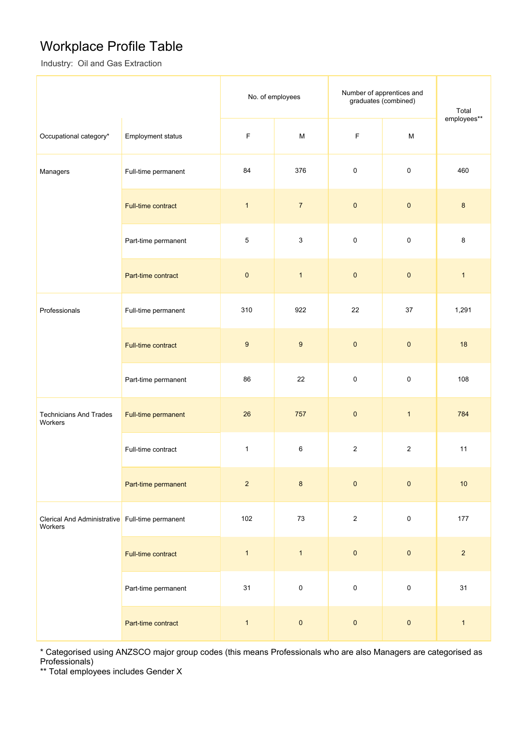## Workplace Profile Table

Industry: Oil and Gas Extraction

|                                                            |                          | No. of employees |                           | Number of apprentices and<br>graduates (combined) |                                                                                                            | Total        |
|------------------------------------------------------------|--------------------------|------------------|---------------------------|---------------------------------------------------|------------------------------------------------------------------------------------------------------------|--------------|
| Occupational category*                                     | <b>Employment status</b> | $\mathsf F$      | M                         | $\mathsf F$                                       | $\mathsf{M}% _{T}=\mathsf{M}_{T}\!\left( a,b\right) ,\ \mathsf{M}_{T}=\mathsf{M}_{T}\!\left( a,b\right) ,$ | employees**  |
| Managers                                                   | Full-time permanent      | 84               | 376                       | 0                                                 | $\mathbf 0$                                                                                                | 460          |
|                                                            | Full-time contract       | $\mathbf{1}$     | $\overline{7}$            | $\pmb{0}$                                         | $\pmb{0}$                                                                                                  | $\bf{8}$     |
|                                                            | Part-time permanent      | 5                | $\ensuremath{\mathsf{3}}$ | $\pmb{0}$                                         | $\pmb{0}$                                                                                                  | 8            |
|                                                            | Part-time contract       | $\pmb{0}$        | $\overline{1}$            | $\pmb{0}$                                         | $\pmb{0}$                                                                                                  | $\mathbf{1}$ |
| Professionals                                              | Full-time permanent      | 310              | 922                       | 22                                                | 37                                                                                                         | 1,291        |
|                                                            | Full-time contract       | $\boldsymbol{9}$ | $\boldsymbol{9}$          | $\pmb{0}$                                         | $\pmb{0}$                                                                                                  | 18           |
|                                                            | Part-time permanent      | 86               | 22                        | 0                                                 | $\mathbf 0$                                                                                                | 108          |
| <b>Technicians And Trades</b><br>Workers                   | Full-time permanent      | 26               | 757                       | $\pmb{0}$                                         | $\mathbf{1}$                                                                                               | 784          |
|                                                            | Full-time contract       | $\mathbf{1}$     | $\,6\,$                   | $\overline{\mathbf{c}}$                           | $\overline{2}$                                                                                             | 11           |
|                                                            | Part-time permanent      | $\sqrt{2}$       | $\bf 8$                   | $\pmb{0}$                                         | $\pmb{0}$                                                                                                  | 10           |
| Clerical And Administrative Full-time permanent<br>Workers |                          | 102              | $73\,$                    | $\sqrt{2}$                                        | $\mathsf{O}\xspace$                                                                                        | 177          |
|                                                            | Full-time contract       | $\mathbf{1}$     | $\mathbf{1}$              | $\pmb{0}$                                         | $\pmb{0}$                                                                                                  | $\sqrt{2}$   |
|                                                            | Part-time permanent      | 31               | $\mathsf 0$               | $\mathbf 0$                                       | $\mathsf{O}\xspace$                                                                                        | 31           |
|                                                            | Part-time contract       | $\mathbf{1}$     | $\pmb{0}$                 | $\pmb{0}$                                         | $\pmb{0}$                                                                                                  | $\mathbf{1}$ |

\* Categorised using ANZSCO major group codes (this means Professionals who are also Managers are categorised as Professionals)

\*\* Total employees includes Gender X